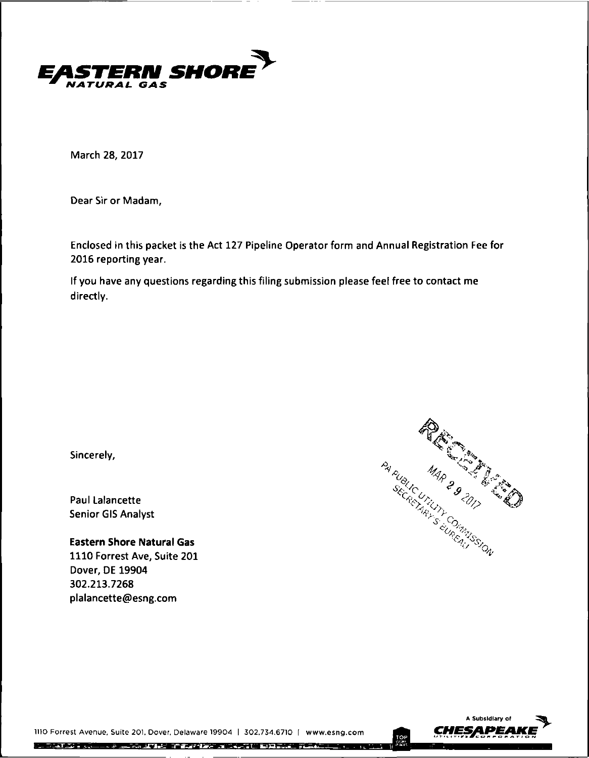

**March 28, 2017**

**Dear Sir or Madam,**

**Enclosed In this packet is the Act 127 Pipeline Operator form and Annual Registration Fee for 2016 reporting year.**

**If you have any questions regarding this filing submission please feel free to contact me directly.**

**Sincerely,**

**Paul Lalancette Senior GIS Analyst**

**Eastern Shore Natural Gas 1110 Forrest Ave, Suite 201 Dover, DE 19904 302.213.7268 plalancette@esng.com**





1110 Forrest Avenue, Suite 201. Dover, Delaware 19904 | 302,734,6710 | www.esng.com **CHESAPEA** 

化异戊基苯基 医单三角 医二氯 人名尼 计多方性元素 医半身指趾 的复数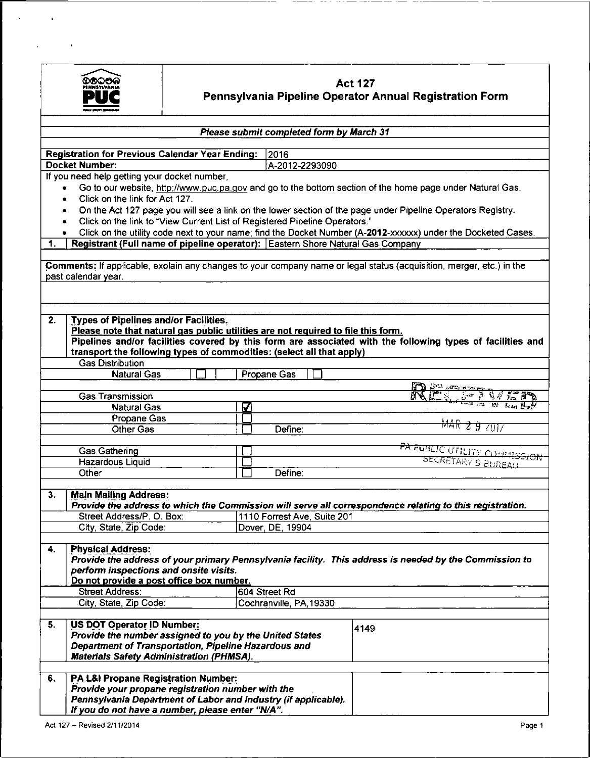

 $\ddot{\phantom{1}}$ 

 $\hat{\mathbf{z}}$ 

 $\ddot{\phantom{0}}$ 

# **Act 127 Pennsylvania Pipeline Operator Annual Registration Form**

| Please submit completed form by March 31                                                                             |                             |                                                                                                               |  |  |  |  |  |
|----------------------------------------------------------------------------------------------------------------------|-----------------------------|---------------------------------------------------------------------------------------------------------------|--|--|--|--|--|
| <b>Registration for Previous Calendar Year Ending:</b>                                                               | 2016                        |                                                                                                               |  |  |  |  |  |
| <b>Docket Number:</b>                                                                                                | A-2012-2293090              |                                                                                                               |  |  |  |  |  |
| If you need help getting your docket number,                                                                         |                             |                                                                                                               |  |  |  |  |  |
| Go to our website, http://www.puc.pa.gov and go to the bottom section of the home page under Natural Gas.<br>٠       |                             |                                                                                                               |  |  |  |  |  |
| Click on the link for Act 127.<br>٠                                                                                  |                             |                                                                                                               |  |  |  |  |  |
| ۰                                                                                                                    |                             | On the Act 127 page you will see a link on the lower section of the page under Pipeline Operators Registry.   |  |  |  |  |  |
| Click on the link to "View Current List of Registered Pipeline Operators."<br>٠                                      |                             |                                                                                                               |  |  |  |  |  |
|                                                                                                                      |                             | Click on the utility code next to your name; find the Docket Number (A-2012-xxxxxx) under the Docketed Cases. |  |  |  |  |  |
| Registrant (Full name of pipeline operator): Eastern Shore Natural Gas Company<br>1.                                 |                             |                                                                                                               |  |  |  |  |  |
|                                                                                                                      |                             |                                                                                                               |  |  |  |  |  |
| Comments: If applicable, explain any changes to your company name or legal status (acquisition, merger, etc.) in the |                             |                                                                                                               |  |  |  |  |  |
| past calendar year.                                                                                                  |                             |                                                                                                               |  |  |  |  |  |
|                                                                                                                      |                             |                                                                                                               |  |  |  |  |  |
|                                                                                                                      |                             |                                                                                                               |  |  |  |  |  |
|                                                                                                                      |                             |                                                                                                               |  |  |  |  |  |
| 2.<br><b>Types of Pipelines and/or Facilities.</b>                                                                   |                             |                                                                                                               |  |  |  |  |  |
| Please note that natural gas public utilities are not required to file this form.                                    |                             | Pipelines and/or facilities covered by this form are associated with the following types of facilities and    |  |  |  |  |  |
| transport the following types of commodities: (select all that apply)                                                |                             |                                                                                                               |  |  |  |  |  |
| <b>Gas Distribution</b>                                                                                              |                             |                                                                                                               |  |  |  |  |  |
| <b>Natural Gas</b>                                                                                                   | Propane Gas                 |                                                                                                               |  |  |  |  |  |
|                                                                                                                      |                             |                                                                                                               |  |  |  |  |  |
| Gas Transmission                                                                                                     |                             | <b>AD OF ARIANA</b><br>EC BINED                                                                               |  |  |  |  |  |
| <b>Natural Gas</b>                                                                                                   | ☑                           |                                                                                                               |  |  |  |  |  |
| Propane Gas                                                                                                          |                             |                                                                                                               |  |  |  |  |  |
| <b>Other Gas</b>                                                                                                     | Define:                     | MAR 2 9 2017                                                                                                  |  |  |  |  |  |
|                                                                                                                      |                             |                                                                                                               |  |  |  |  |  |
| <b>Gas Gathering</b>                                                                                                 |                             |                                                                                                               |  |  |  |  |  |
| <b>Hazardous Liquid</b>                                                                                              |                             | PA FUBLIC UTILITY COMMISSION                                                                                  |  |  |  |  |  |
| Other                                                                                                                | Define:                     |                                                                                                               |  |  |  |  |  |
|                                                                                                                      |                             |                                                                                                               |  |  |  |  |  |
| <b>Main Mailing Address:</b><br>3.                                                                                   |                             |                                                                                                               |  |  |  |  |  |
|                                                                                                                      |                             | Provide the address to which the Commission will serve all correspondence relating to this registration.      |  |  |  |  |  |
| Street Address/P. O. Box:                                                                                            | 1110 Forrest Ave, Suite 201 |                                                                                                               |  |  |  |  |  |
| City, State, Zip Code:                                                                                               | Dover, DE, 19904            |                                                                                                               |  |  |  |  |  |
|                                                                                                                      |                             |                                                                                                               |  |  |  |  |  |
| <b>Physical Address:</b><br>4.                                                                                       |                             |                                                                                                               |  |  |  |  |  |
|                                                                                                                      |                             | Provide the address of your primary Pennsylvania facility. This address is needed by the Commission to        |  |  |  |  |  |
| perform inspections and onsite visits.<br>Do not provide a post office box number.                                   |                             |                                                                                                               |  |  |  |  |  |
| <b>Street Address:</b>                                                                                               | 604 Street Rd               |                                                                                                               |  |  |  |  |  |
| City, State, Zip Code:                                                                                               | Cochranville, PA, 19330     |                                                                                                               |  |  |  |  |  |
|                                                                                                                      |                             |                                                                                                               |  |  |  |  |  |
| US DOT Operator ID Number:<br>5.                                                                                     |                             |                                                                                                               |  |  |  |  |  |
| Provide the number assigned to you by the United States                                                              |                             | 4149                                                                                                          |  |  |  |  |  |
| Department of Transportation, Pipeline Hazardous and                                                                 |                             |                                                                                                               |  |  |  |  |  |
| <b>Materials Safety Administration (PHMSA).</b>                                                                      |                             |                                                                                                               |  |  |  |  |  |
|                                                                                                                      |                             |                                                                                                               |  |  |  |  |  |
| PA L&I Propane Registration Number:<br>6.                                                                            |                             |                                                                                                               |  |  |  |  |  |
| Provide your propane registration number with the                                                                    |                             |                                                                                                               |  |  |  |  |  |
| Pennsylvania Department of Labor and Industry (if applicable).                                                       |                             |                                                                                                               |  |  |  |  |  |
| If you do not have a number, please enter "N/A".                                                                     |                             |                                                                                                               |  |  |  |  |  |
| Act 127 - Revised 2/11/2014                                                                                          |                             | Page 1                                                                                                        |  |  |  |  |  |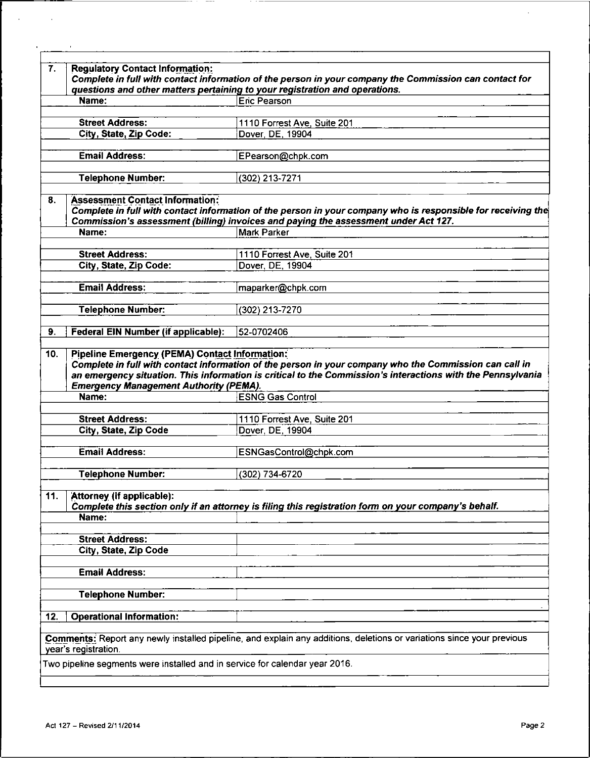| Complete in full with contact information of the person in your company the Commission can contact for<br>Complete in full with contact information of the person in your company who is responsible for receiving the |
|------------------------------------------------------------------------------------------------------------------------------------------------------------------------------------------------------------------------|
|                                                                                                                                                                                                                        |
|                                                                                                                                                                                                                        |
|                                                                                                                                                                                                                        |
|                                                                                                                                                                                                                        |
|                                                                                                                                                                                                                        |
|                                                                                                                                                                                                                        |
|                                                                                                                                                                                                                        |
|                                                                                                                                                                                                                        |
|                                                                                                                                                                                                                        |
|                                                                                                                                                                                                                        |
|                                                                                                                                                                                                                        |
|                                                                                                                                                                                                                        |
|                                                                                                                                                                                                                        |
|                                                                                                                                                                                                                        |
|                                                                                                                                                                                                                        |
|                                                                                                                                                                                                                        |
|                                                                                                                                                                                                                        |
|                                                                                                                                                                                                                        |
|                                                                                                                                                                                                                        |
|                                                                                                                                                                                                                        |
|                                                                                                                                                                                                                        |
|                                                                                                                                                                                                                        |
|                                                                                                                                                                                                                        |
|                                                                                                                                                                                                                        |
| Complete this section only if an attorney is filing this registration form on your company's behalf.                                                                                                                   |
|                                                                                                                                                                                                                        |
|                                                                                                                                                                                                                        |
|                                                                                                                                                                                                                        |
|                                                                                                                                                                                                                        |
|                                                                                                                                                                                                                        |
|                                                                                                                                                                                                                        |
|                                                                                                                                                                                                                        |
|                                                                                                                                                                                                                        |
| Comments: Report any newly installed pipeline, and explain any additions, deletions or variations since your previous                                                                                                  |
|                                                                                                                                                                                                                        |
| Complete in full with contact information of the person in your company who the Commission can call in<br>an emergency situation. This information is critical to the Commission's interactions with the Pennsylvania  |

----

 $\sim$ 

 $\sim 10^6$ 

 $\ddot{\phantom{a}}$ 

 $\bar{E}$ 

---

 $-$ 

ı

 $\bar{z}$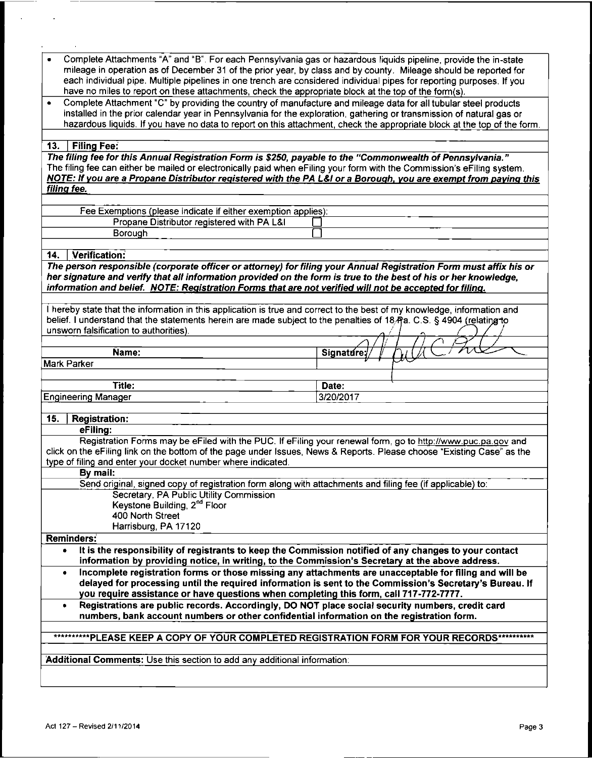| Complete Attachments "A" and "B". For each Pennsylvania gas or hazardous liquids pipeline, provide the in-state<br>$\bullet$<br>mileage in operation as of December 31 of the prior year, by class and by county. Mileage should be reported for<br>each individual pipe. Multiple pipelines in one trench are considered individual pipes for reporting purposes. If you<br>have no miles to report on these attachments, check the appropriate block at the top of the form(s). |                                                                                               |
|-----------------------------------------------------------------------------------------------------------------------------------------------------------------------------------------------------------------------------------------------------------------------------------------------------------------------------------------------------------------------------------------------------------------------------------------------------------------------------------|-----------------------------------------------------------------------------------------------|
| Complete Attachment "C" by providing the country of manufacture and mileage data for all tubular steel products<br>$\bullet$<br>installed in the prior calendar year in Pennsylvania for the exploration, gathering or transmission of natural gas or                                                                                                                                                                                                                             |                                                                                               |
| hazardous liquids. If you have no data to report on this attachment, check the appropriate block at the top of the form.                                                                                                                                                                                                                                                                                                                                                          |                                                                                               |
| <b>Filing Fee:</b><br>13.                                                                                                                                                                                                                                                                                                                                                                                                                                                         |                                                                                               |
| The filing fee for this Annual Registration Form is \$250, payable to the "Commonwealth of Pennsylvania."                                                                                                                                                                                                                                                                                                                                                                         |                                                                                               |
| The filing fee can either be mailed or electronically paid when eFiling your form with the Commission's eFiling system.<br>NOTE: If you are a Propane Distributor registered with the PA L&I or a Borough, you are exempt from paying this<br>filing fee.                                                                                                                                                                                                                         |                                                                                               |
|                                                                                                                                                                                                                                                                                                                                                                                                                                                                                   |                                                                                               |
| Fee Exemptions (please indicate if either exemption applies):                                                                                                                                                                                                                                                                                                                                                                                                                     |                                                                                               |
| Propane Distributor registered with PA L&I                                                                                                                                                                                                                                                                                                                                                                                                                                        |                                                                                               |
| Borough                                                                                                                                                                                                                                                                                                                                                                                                                                                                           |                                                                                               |
| 14.<br>Verification:                                                                                                                                                                                                                                                                                                                                                                                                                                                              |                                                                                               |
| The person responsible (corporate officer or attorney) for filing your Annual Registration Form must affix his or                                                                                                                                                                                                                                                                                                                                                                 |                                                                                               |
| her signature and verify that all information provided on the form is true to the best of his or her knowledge,<br>information and belief. NOTE: Registration Forms that are not verified will not be accepted for filing.                                                                                                                                                                                                                                                        |                                                                                               |
|                                                                                                                                                                                                                                                                                                                                                                                                                                                                                   |                                                                                               |
| I hereby state that the information in this application is true and correct to the best of my knowledge, information and<br>belief. I understand that the statements herein are made subject to the penalties of 18 Pa. C.S. § 4904 (relating to<br>unsworn falsification to authorities).                                                                                                                                                                                        |                                                                                               |
|                                                                                                                                                                                                                                                                                                                                                                                                                                                                                   |                                                                                               |
| Name:                                                                                                                                                                                                                                                                                                                                                                                                                                                                             | Signature:                                                                                    |
| Mark Parker                                                                                                                                                                                                                                                                                                                                                                                                                                                                       |                                                                                               |
| Title:                                                                                                                                                                                                                                                                                                                                                                                                                                                                            | Date:                                                                                         |
| <b>Engineering Manager</b>                                                                                                                                                                                                                                                                                                                                                                                                                                                        | 3/20/2017                                                                                     |
|                                                                                                                                                                                                                                                                                                                                                                                                                                                                                   |                                                                                               |
| 15.<br><b>Registration:</b>                                                                                                                                                                                                                                                                                                                                                                                                                                                       |                                                                                               |
| eFiling:                                                                                                                                                                                                                                                                                                                                                                                                                                                                          |                                                                                               |
| Registration Forms may be eFiled with the PUC. If eFiling your renewal form, go to http://www.puc.pa.gov and<br>click on the eFiling link on the bottom of the page under Issues, News & Reports. Please choose "Existing Case" as the<br>type of filing and enter your docket number where indicated.                                                                                                                                                                            |                                                                                               |
| By mail:                                                                                                                                                                                                                                                                                                                                                                                                                                                                          |                                                                                               |
| Send original, signed copy of registration form along with attachments and filing fee (if applicable) to:                                                                                                                                                                                                                                                                                                                                                                         |                                                                                               |
| Secretary, PA Public Utility Commission<br>Keystone Building, 2 <sup>nd</sup> Floor                                                                                                                                                                                                                                                                                                                                                                                               |                                                                                               |
| 400 North Street                                                                                                                                                                                                                                                                                                                                                                                                                                                                  |                                                                                               |
| Harrisburg, PA 17120                                                                                                                                                                                                                                                                                                                                                                                                                                                              |                                                                                               |
| Reminders:                                                                                                                                                                                                                                                                                                                                                                                                                                                                        |                                                                                               |
| It is the responsibility of registrants to keep the Commission notified of any changes to your contact<br>$\bullet$<br>information by providing notice, in writing, to the Commission's Secretary at the above address.                                                                                                                                                                                                                                                           |                                                                                               |
| Incomplete registration forms or those missing any attachments are unacceptable for filing and will be<br>$\bullet$<br>delayed for processing until the required information is sent to the Commission's Secretary's Bureau. If<br>you require assistance or have questions when completing this form, call 717-772-7777.                                                                                                                                                         |                                                                                               |
| Registrations are public records. Accordingly, DO NOT place social security numbers, credit card<br>numbers, bank account numbers or other confidential information on the registration form.                                                                                                                                                                                                                                                                                     |                                                                                               |
|                                                                                                                                                                                                                                                                                                                                                                                                                                                                                   |                                                                                               |
|                                                                                                                                                                                                                                                                                                                                                                                                                                                                                   |                                                                                               |
|                                                                                                                                                                                                                                                                                                                                                                                                                                                                                   | ***********PLEASE KEEP A COPY OF YOUR COMPLETED REGISTRATION FORM FOR YOUR RECORDS*********** |
|                                                                                                                                                                                                                                                                                                                                                                                                                                                                                   |                                                                                               |
| Additional Comments: Use this section to add any additional information:                                                                                                                                                                                                                                                                                                                                                                                                          |                                                                                               |

 $\sim 10$ 

 $\sim 10^{-10}$ 

 $\frac{1}{2} \left( \frac{1}{2} \right) + \frac{1}{2} \left( \frac{1}{2} \right) + \frac{1}{2} \left( \frac{1}{2} \right) + \frac{1}{2} \left( \frac{1}{2} \right) + \frac{1}{2} \left( \frac{1}{2} \right) + \frac{1}{2} \left( \frac{1}{2} \right) + \frac{1}{2} \left( \frac{1}{2} \right) + \frac{1}{2} \left( \frac{1}{2} \right) + \frac{1}{2} \left( \frac{1}{2} \right) + \frac{1}{2} \left( \frac{1}{2} \right) + \frac{1}{2} \left($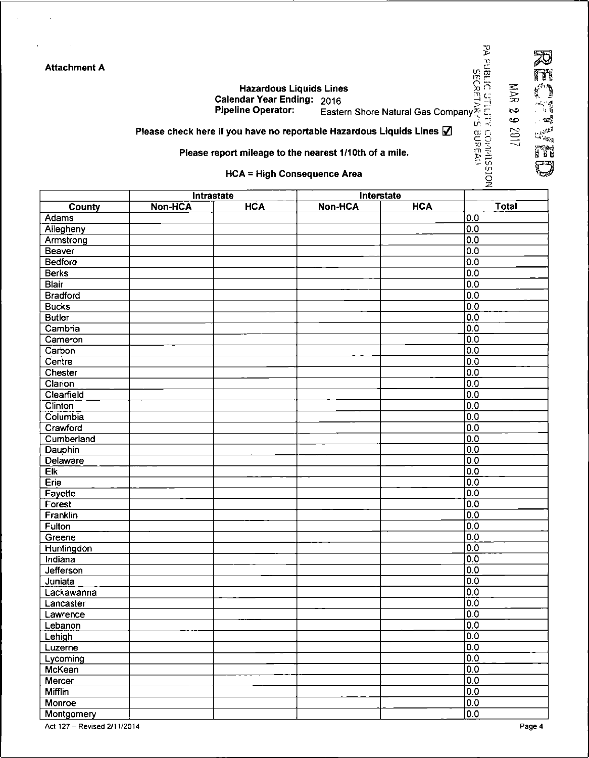| Attachment A |
|--------------|
|--------------|

 $\bar{z}$ 

 $\alpha$ 

| <b>Hazardous Liquids Lines</b> |  |  | .<br>ទ្ធគ                                    |  |
|--------------------------------|--|--|----------------------------------------------|--|
| Calendar Year Ending: 2016     |  |  | ב ויי                                        |  |
| Pineline Onerator:             |  |  | Þ.,<br>Factors Chase Natural Can Company Tur |  |

Pipeline Operator: Eastern Shore Natural Gas Company^ r.

(x fj c o

ro *CD*

 $\cdot$  is *^4.*

مي<br>منابع  $\bar{\Omega}$  $\omega_{\rm{av}}$  $H^2$ 

m> <sup>~</sup> C *if)*

o

Please check here if you have no reportable Hazardous Liquids Lines  $\Box$ 

### Please report mileage to the nearest 1/1 Oth of a mile.

HCA = High Consequence Area

|                 | Intrastate     |            |                | Interstate |                  |
|-----------------|----------------|------------|----------------|------------|------------------|
| County          | <b>Non-HCA</b> | <b>HCA</b> | <b>Non-HCA</b> | <b>HCA</b> | Total            |
| Adams           |                |            |                |            | 0.0              |
| Allegheny       |                |            |                |            | $\overline{0.0}$ |
| Armstrong       |                |            |                |            | 0.0              |
| Beaver          |                |            |                |            | 0.0              |
| Bedford         |                |            |                |            | 0.0              |
| <b>Berks</b>    |                |            |                |            | 0.0              |
| <b>Blair</b>    |                |            |                |            | 0.0              |
| <b>Bradford</b> |                |            |                |            | 0.0              |
| <b>Bucks</b>    |                |            |                |            | 0.0              |
| <b>Butler</b>   |                |            |                |            | 0.0              |
| Cambria         |                |            |                |            | 0.0              |
| Cameron         |                |            |                |            | 0.0              |
| Carbon          |                |            |                |            | 0.0              |
| Centre          |                |            |                |            | 0.0              |
| Chester         |                |            |                |            | 0.0              |
| Clarion         |                |            |                |            | 0.0              |
| Clearfield      |                |            |                |            | 0.0              |
| Clinton         |                |            |                |            | 0.0              |
| Columbia        |                |            |                |            | 0.0              |
| Crawford        |                |            |                |            | 0.0              |
| Cumberland      |                |            |                |            | 0.0              |
| Dauphin         |                |            |                |            | 0.0              |
| <b>Delaware</b> |                |            |                |            | 0.0              |
| Eik             |                |            |                |            | 0.0              |
| Erie            |                |            |                |            | 0.0              |
| Fayette         |                |            |                |            | 0.0              |
| Forest          |                |            |                |            | 0.0              |
| Franklin        |                |            |                |            | 0.0              |
| Fulton          |                |            |                |            | 0.0              |
| Greene          |                |            |                |            | 0.0              |
| Huntingdon      |                |            |                |            | 0.0              |
| Indiana         |                |            |                |            | 0.0              |
| Jefferson       |                |            |                |            | 0.0              |
| Juniata         |                |            |                |            | 0.0              |
| Lackawanna      |                |            |                |            | 0.0              |
| Lancaster       |                |            |                |            | 0.0              |
| Lawrence        |                |            |                |            | 0.0              |
| Lebanon         |                |            |                |            | 0.0              |
| Lehigh          |                |            |                |            | 0.0              |
| Luzerne         |                |            |                |            | 0.0              |
| Lycoming        |                |            |                |            | 0.0              |
| <b>McKean</b>   |                |            |                |            | 0.0              |
| Mercer          |                |            |                |            | 0.0              |
| <b>Mifflin</b>  |                |            |                |            | 0.0              |
| Monroe          |                |            |                |            | 0.0              |
| Montgomery      |                |            |                |            | 0.0              |

Act 127 – Revised 2/11/2014 **Page 4**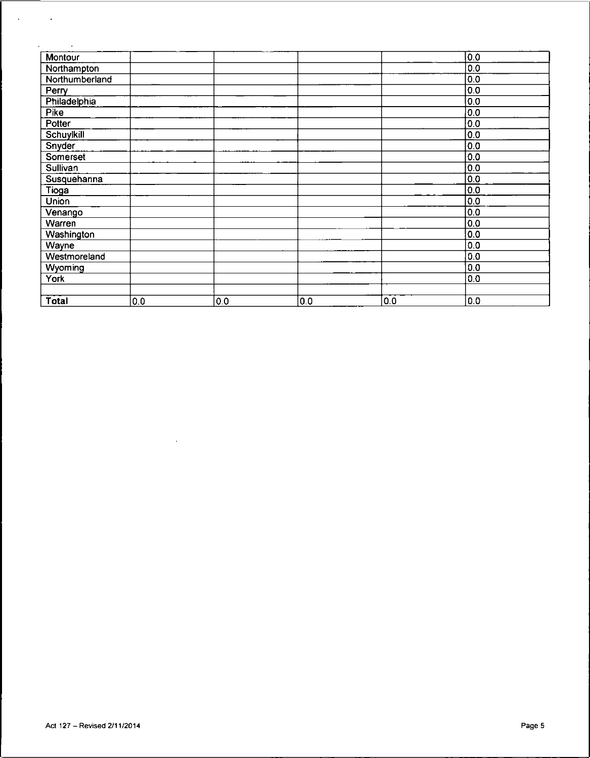| Montour        |     |     |     |     | $\overline{0.0}$ |
|----------------|-----|-----|-----|-----|------------------|
| Northampton    |     |     |     |     | 0.0              |
| Northumberland |     |     |     |     | 0.0              |
| Perry          |     |     |     |     | 0.0              |
| Philadelphia   |     |     |     |     | 0.0              |
| <b>Pike</b>    |     |     |     |     | 0.0              |
| Potter         |     |     |     |     | 0.0              |
| Schuylkill     |     |     |     |     | 0.0              |
| Snyder         |     |     |     |     | 0.0              |
| Somerset       |     |     |     |     | 0.0              |
| Sullivan       |     |     |     |     | 0.0              |
| Susquehanna    |     |     |     |     | 0.0              |
| Tioga          |     |     |     |     | 0.0              |
| Union          |     |     |     |     | $\overline{0.0}$ |
| Venango        |     |     |     |     | $\overline{0.0}$ |
| Warren         |     |     |     |     | 0.0              |
| Washington     |     |     |     |     | 0.0              |
| Wayne          |     |     |     |     | 0.0              |
| Westmoreland   |     |     |     |     | 0.0              |
| Wyoming        |     |     |     |     | 0.0              |
| York           |     |     |     |     | 0.0              |
|                |     |     |     |     |                  |
| Total          | 0.0 | 0.0 | 0.0 | 0.0 | 0.0              |

 $\mathcal{L}^{\mathcal{L}}(\mathcal{L}^{\mathcal{L}})$  and  $\mathcal{L}^{\mathcal{L}}(\mathcal{L}^{\mathcal{L}})$  and  $\mathcal{L}^{\mathcal{L}}(\mathcal{L}^{\mathcal{L}})$ 

\_\_\_\_\_\_

 $\mathcal{A}^{\mathcal{A}}_{\mathcal{A}}$  ,  $\mathcal{A}^{\mathcal{A}}_{\mathcal{A}}$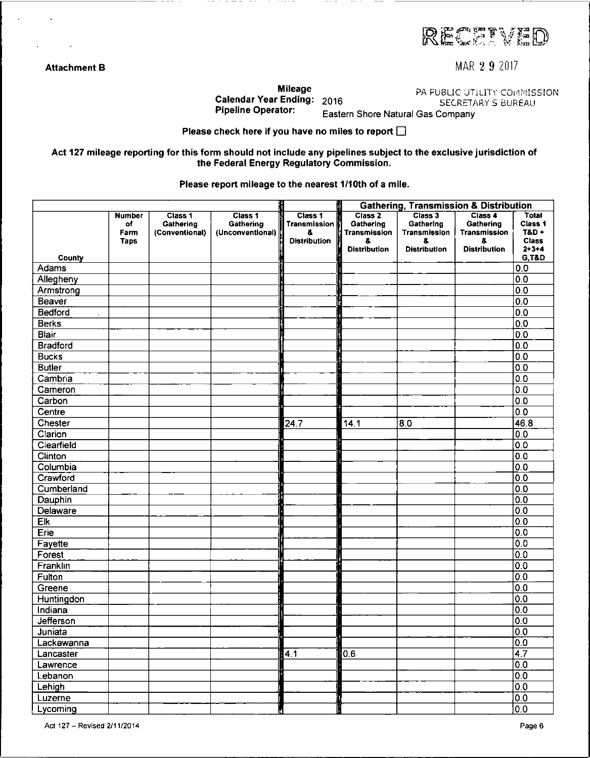RECENED

**Attachment B** MAR 2 **9** Z017

Calendar Year Ending: 2016<br>Pipeline Operator: Easte

**Mileage** PA PUBLIC UTILITY COMMISSION<br>Ending: 2016 SECRETARY'S BUREAU

Eastern Shore Natural Gas Company

Please check here if you have no miles to report  $\square$ 

Act 127 mileage reporting for this form should not include any pipelines subject to the exclusive jurisdiction of the Federal Energy Regulatory Commission.

Please report mileage to the nearest 1/10th of a mile.

|                  |                                     |                                        |                                          |                                                             |                                                                  | <b>Gathering, Transmission &amp; Distribution</b>                 |                                                                   |                                                              |
|------------------|-------------------------------------|----------------------------------------|------------------------------------------|-------------------------------------------------------------|------------------------------------------------------------------|-------------------------------------------------------------------|-------------------------------------------------------------------|--------------------------------------------------------------|
|                  | Number<br>of<br>Farm<br><b>Taps</b> | Class 1<br>Gathering<br>(Conventional) | Class 1<br>Gathering<br>(Unconventional) | Class 1<br><b>Transmission</b><br>8.<br><b>Distribution</b> | Class 2<br>Gathering<br>Transmission<br>&<br><b>Distribution</b> | Class 3<br>Gathering<br>Transmission<br>å.<br><b>Distribution</b> | Class 4<br>Gathering<br>Transmission<br>8.<br><b>Distribution</b> | Total<br>Class 1<br><b>T&amp;D +</b><br>Class<br>$2 + 3 + 4$ |
| County           |                                     |                                        |                                          |                                                             |                                                                  |                                                                   |                                                                   | <b>G.T&amp;D</b>                                             |
| Adams            |                                     |                                        |                                          |                                                             |                                                                  |                                                                   |                                                                   | 0.0                                                          |
| Allegheny        |                                     |                                        |                                          |                                                             |                                                                  |                                                                   |                                                                   | 0.0                                                          |
| Armstrong        |                                     |                                        |                                          |                                                             |                                                                  |                                                                   |                                                                   | 0.0                                                          |
| Beaver           |                                     |                                        |                                          |                                                             |                                                                  |                                                                   |                                                                   | 0.0                                                          |
| Bedford          |                                     |                                        |                                          |                                                             |                                                                  |                                                                   |                                                                   | 0.0                                                          |
| <b>Berks</b>     |                                     |                                        |                                          |                                                             |                                                                  |                                                                   |                                                                   | 0.0                                                          |
| <b>Blair</b>     |                                     |                                        |                                          |                                                             |                                                                  |                                                                   |                                                                   | $\overline{0}0$                                              |
| <b>Bradford</b>  |                                     |                                        |                                          |                                                             |                                                                  |                                                                   |                                                                   | 0.0                                                          |
| <b>Bucks</b>     |                                     |                                        |                                          |                                                             |                                                                  |                                                                   |                                                                   | 0.0                                                          |
| <b>Butler</b>    |                                     |                                        |                                          |                                                             |                                                                  |                                                                   |                                                                   | 0.0                                                          |
| Cambria          |                                     |                                        |                                          |                                                             |                                                                  |                                                                   |                                                                   | 0.0                                                          |
| Cameron          |                                     |                                        |                                          |                                                             |                                                                  |                                                                   |                                                                   | 0 <sub>0</sub>                                               |
| Carbon           |                                     |                                        |                                          |                                                             |                                                                  |                                                                   |                                                                   | 0.0                                                          |
| Centre           |                                     |                                        |                                          |                                                             |                                                                  |                                                                   |                                                                   | 0.0                                                          |
| Chester          |                                     |                                        |                                          | 24.7                                                        | $14.1$                                                           | 8.0                                                               |                                                                   | 46.8                                                         |
| Clarion          |                                     |                                        |                                          |                                                             |                                                                  |                                                                   |                                                                   | 0.0                                                          |
| Clearfield       |                                     |                                        |                                          |                                                             |                                                                  |                                                                   |                                                                   | 0.0                                                          |
| Clinton          |                                     |                                        |                                          |                                                             |                                                                  |                                                                   |                                                                   | 0.0                                                          |
| Columbia         |                                     |                                        |                                          |                                                             |                                                                  |                                                                   |                                                                   | 0 <sub>0</sub>                                               |
| Crawford         |                                     |                                        |                                          |                                                             |                                                                  |                                                                   |                                                                   | 0.0                                                          |
| Cumberland       |                                     |                                        |                                          |                                                             |                                                                  |                                                                   |                                                                   | 0.0                                                          |
| Dauphin          |                                     |                                        |                                          |                                                             |                                                                  |                                                                   |                                                                   | 0.0                                                          |
| Delaware         |                                     |                                        |                                          |                                                             |                                                                  |                                                                   |                                                                   | 0.0                                                          |
| $E_{\mathbf{k}}$ |                                     |                                        |                                          |                                                             |                                                                  |                                                                   |                                                                   | 0.0                                                          |
| Erie             |                                     |                                        |                                          |                                                             |                                                                  |                                                                   |                                                                   | 0.0                                                          |
| Fayette          |                                     |                                        |                                          |                                                             |                                                                  |                                                                   |                                                                   | 0.0                                                          |
| Forest           |                                     |                                        |                                          |                                                             |                                                                  |                                                                   |                                                                   | $\overline{0}$                                               |
| Franklin         |                                     |                                        |                                          |                                                             |                                                                  |                                                                   |                                                                   | 0.0                                                          |
| Fulton           |                                     |                                        |                                          |                                                             |                                                                  |                                                                   |                                                                   | 0.0                                                          |
| Greene           |                                     |                                        |                                          |                                                             |                                                                  |                                                                   |                                                                   | 0.0                                                          |
| Huntingdon       |                                     |                                        |                                          |                                                             |                                                                  |                                                                   |                                                                   | 0.0                                                          |
| Indiana          |                                     |                                        |                                          |                                                             |                                                                  |                                                                   |                                                                   | 0.0                                                          |
| Jefferson        |                                     |                                        |                                          |                                                             |                                                                  |                                                                   |                                                                   | 0.0                                                          |
| Juniata          |                                     |                                        |                                          |                                                             |                                                                  |                                                                   |                                                                   | $\overline{\overline{\mathsf{0.0}}}$                         |
| Lackawanna       |                                     |                                        |                                          |                                                             |                                                                  |                                                                   |                                                                   | $\overline{0.0}$                                             |
| Lancaster        |                                     |                                        |                                          | $\overline{4.1}$                                            | 0.6                                                              |                                                                   |                                                                   | 4.7                                                          |
| Lawrence         |                                     |                                        |                                          |                                                             |                                                                  |                                                                   |                                                                   | 0.0                                                          |
| Lebanon          |                                     |                                        |                                          |                                                             |                                                                  |                                                                   |                                                                   | $\overline{0.0}$                                             |
| Lehigh           |                                     |                                        |                                          |                                                             |                                                                  |                                                                   |                                                                   | $\overline{0.0}$                                             |
| Luzerne          |                                     |                                        |                                          |                                                             |                                                                  |                                                                   |                                                                   | 0.0                                                          |
| Lycoming         |                                     |                                        |                                          |                                                             |                                                                  |                                                                   |                                                                   | $\overline{00}$                                              |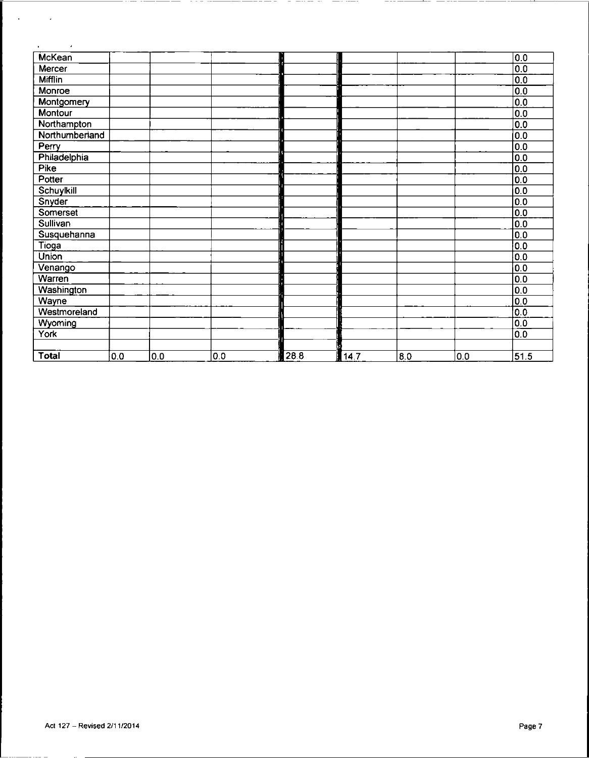| McKean         |     |     |     |      |      |     |     | 0.0              |
|----------------|-----|-----|-----|------|------|-----|-----|------------------|
| Mercer         |     |     |     |      |      |     |     | 0.0              |
| <b>Mifflin</b> |     |     |     |      |      |     |     | 0.0              |
| Monroe         |     |     |     |      |      |     |     | $\overline{0.0}$ |
| Montgomery     |     |     |     |      |      |     |     | 0.0              |
| Montour        |     |     |     |      |      |     |     | 0.0              |
| Northampton    |     |     |     |      |      |     |     | 0.0              |
| Northumberland |     |     |     |      |      |     |     | 0.0              |
| Perry          |     |     |     |      |      |     |     | 0.0              |
| Philadelphia   |     |     |     |      |      |     |     | 0.0              |
| Pike           |     |     |     |      |      |     |     | 0.0              |
| Potter         |     |     |     |      |      |     |     | $\overline{0.0}$ |
| Schuylkill     |     |     |     |      |      |     |     | $\overline{0.0}$ |
| Snyder         |     |     |     |      |      |     |     | $\overline{0.0}$ |
| Somerset       |     |     |     |      |      |     |     | 0.0              |
| Sullivan       |     |     |     |      |      |     |     | $\overline{0}$   |
| Susquehanna    |     |     |     |      |      |     |     | 0.0              |
| <b>Tioga</b>   |     |     |     |      |      |     |     | 0.0              |
| Union          |     |     |     |      |      |     |     | 0.0              |
| Venango        |     |     |     |      |      |     |     | 0.0              |
| Warren         |     |     |     |      |      |     |     | $\overline{0.0}$ |
| Washington     |     |     |     |      |      |     |     | 0.0              |
| Wayne          |     |     |     |      |      |     |     | $\overline{0}$   |
| Westmoreland   |     |     |     |      |      |     |     | $\overline{0.0}$ |
| Wyoming        |     |     |     |      |      |     |     | 0.0              |
| York           |     |     |     |      |      |     |     | 0.0              |
|                |     |     |     |      |      |     |     |                  |
| <b>Total</b>   | 0.0 | 0.0 | 0.0 | 28.8 | 14.7 | 8.0 | 0.0 | 51.5             |

 $\overline{\phantom{a}}$ 

ila.

 $\sim$ 

 $\begin{bmatrix} 1 & 0 & 0 \\ 0 & 0 & 0 \\ 0 & 0 & 0 \end{bmatrix}$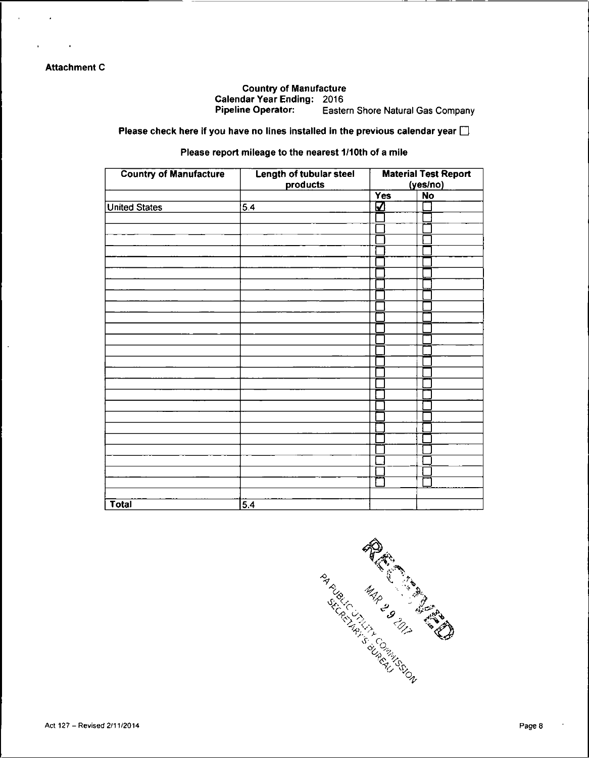## **Attachment C**

 $\ddot{\phantom{a}}$ 

### Country of Manufacture Calendar Year Ending: 2016<br>Pipeline Operator: Easte Eastern Shore Natural Gas Company

Please check here if you have no lines installed in the previous calendar year  $\square$ 

#### Please report mileage to the nearest 1/10th of a mile

| <b>Country of Manufacture</b> | Length of tubular steel<br>products | <b>Material Test Report</b><br>(yes/no) |           |  |  |
|-------------------------------|-------------------------------------|-----------------------------------------|-----------|--|--|
|                               |                                     | <b>Yes</b>                              | <b>No</b> |  |  |
| <b>United States</b>          | 5.4                                 | Ø                                       |           |  |  |
|                               |                                     |                                         |           |  |  |
|                               |                                     |                                         |           |  |  |
|                               |                                     |                                         |           |  |  |
|                               |                                     |                                         |           |  |  |
|                               |                                     |                                         |           |  |  |
|                               |                                     |                                         |           |  |  |
|                               |                                     |                                         |           |  |  |
|                               |                                     |                                         |           |  |  |
|                               |                                     |                                         |           |  |  |
|                               |                                     |                                         |           |  |  |
|                               |                                     |                                         |           |  |  |
|                               |                                     |                                         |           |  |  |
|                               |                                     |                                         |           |  |  |
|                               |                                     |                                         |           |  |  |
|                               |                                     |                                         |           |  |  |
|                               |                                     |                                         |           |  |  |
|                               |                                     |                                         |           |  |  |
|                               |                                     |                                         |           |  |  |
|                               |                                     |                                         |           |  |  |
|                               |                                     |                                         |           |  |  |
|                               |                                     |                                         |           |  |  |
|                               |                                     |                                         |           |  |  |
|                               |                                     |                                         |           |  |  |
|                               |                                     |                                         |           |  |  |
|                               |                                     | ÷                                       |           |  |  |
|                               |                                     |                                         |           |  |  |
| <b>Total</b>                  | $\overline{5.4}$                    |                                         |           |  |  |